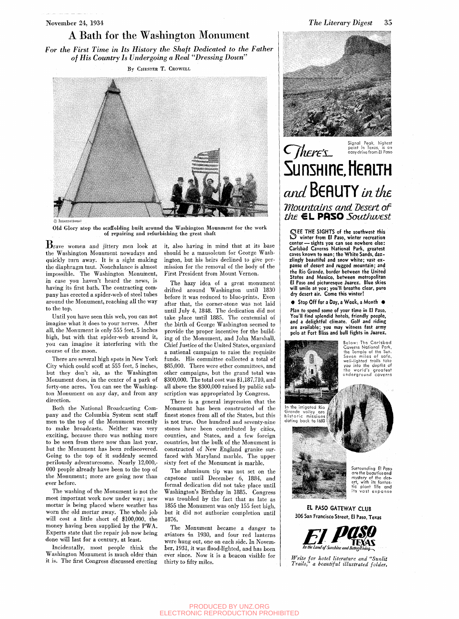### A Bath for the Washington Monument

*For the First Time in Its History the Shaft Dedicated to the Father of His Country Is Undergoing a Real "Dressing Down"* 

By CHESTER T. CROWELL



© Internationa]

Old Glory atop the scaffolding built around the Washington Mounment for the work of repairing and refurbishing the great shaft

 $B<sub>r</sub>$ ave women and jittery men look at the Washington Monument nowadays and quickly turn away. It is a sight making the diaphragm taut. Nonchalance is almost impossible. The Washington Monument, in case you haven't heard the news, is having its first bath. The contracting company has erected a spider-web of steel tubes around the Monument, reaching all the way to the top.

Until you have seen this web, you can not imagine what it does to your nerves. After all, the Monument is only 555 feet, 5 inches high, but with that spider-web around it, you can imagine it interfering with the course of the moon.

There are several high spots in New York City which could scoff at 555 feet, 5 inches, but they don't sit, as the Washington Monument does, in the center of a park of forty-one acres. You can see the Washington Monument on any day, and from any direction.

Both the National Broadcasting Company and the Columbia System sent staff men to the top of the Monument recently to make broadcasts. Neither was very exciting, because there was nothing more to be seen from there now than last year, but the Monument has been rediscovered. Going to the top of it suddenly seemed perilously adventuresome. Nearly 12,000,- 000 people already have been to the top of the Monument; more are going now than ever before.

The washing of the Monument is not the most important work now under way; new mortar is being placed where weather has worn the old mortar away. The whole job will cost a little short of \$100,000, the money having been supplied by the PWA. Experts state that the repair job now being done will last for a century, at least.

Incidentally, most people think the Washington Monument is much older than it is. The first Congress discussed erecting it, also having in mind that at its base should be a mausoleum for George Washington, but his heirs declined to give permission for the removal of the body of the First President from Mount Vernon.

The hazy idea of a great monument drifted around Washington until 1830 before it was reduced to blue-prints. Even after that, the corner-stone was not laid until July 4, 1848. The dedication did not take place until 1885. The centennial of the birth of George Washington seemed to provide the proper incentive for the building of the Monument, and John Marshall, Chief Justice of the United States, organized a national campaign to raise the requisite funds. His committee collected a total of \$85,000. There were other committees, and other campaigns, but the grand total was \$300,000. The total cost was \$1,187,710, and all above the \$300,000 raised by public subscription was appropriated by Congress.

There is a general impression that the Monument has been constructed of the finest stones from all of the States, but this is not true. One hundred and seventy-nine stones have been contributed by cities, counties, and States, and a few foreign countries, but the hulk of the Monument is constructed of New England granite surfaced with Maryland marble. The upper sixty feet of the Monument is marble.

The aluminum tip was not set on the capstone until December 6, 1884, and formal dedication did not take place until Washington's Birthday in 1885. Congress was troubled by the fact that as late as 1855 the Monument was only 155 feet high, but it did not authorize completion until 1876.

The Monument became a danger to aviators in 1930, and four red lanterns were hung out, one on each side. In November, 1931, it was flood-lighted, and has been ever since. Now it is a beacon visible for thirty to fifty miles.



## Signal Peak, highest<br>point in Texas, is an **CHILLE'S Point in Texas, is an** *Point in Texas, is an* **5unsHine,l1eflLTH**  and **BEAUTY** in the *TfhMntcims and Desert of*  the **€L PASO** Southwest

SEE THE SIGHTS of the southwest this<br>Section the Music winter recreation EE THE SIGHTS of the southwest this center — sights you can see nowhere else: Carlsbad Caverns National Park, greatest caves known to man; the White Sands, dazzlingly beautiful and snow white; vast expanse of desert and rugged mountain; and the Rio Grande, border between the United States and Mexico, between metropolitan El Paso and picturesque Juarez. Blue skies will smile at you; you'll breathe clear, pure dry desert air. Come this winter!

**•** Stop Off for a Day, a Week, a Month •

Plan to spend some of your time in El Paso. You'll find splendid hotels, friendly people, and a delightful climate. Golf and riding are available; you may witness fast army polo at Fort Bliss and bull fights in Juarez.







*Write for hotel literature and "Sunlit Trails" a beautiful illustrated folder.*